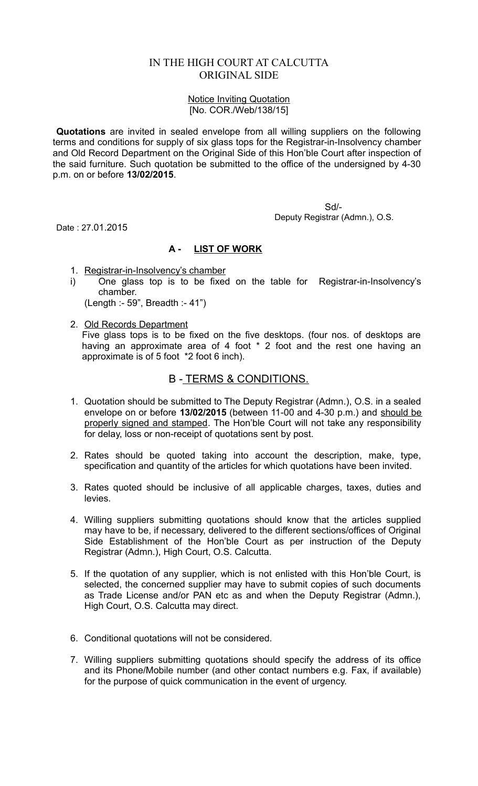## IN THE HIGH COURT AT CALCUTTA ORIGINAL SIDE

## Notice Inviting Quotation [No. COR./Web/138/15]

**Quotations** are invited in sealed envelope from all willing suppliers on the following terms and conditions for supply of six glass tops for the Registrar-in-Insolvency chamber and Old Record Department on the Original Side of this Hon'ble Court after inspection of the said furniture. Such quotation be submitted to the office of the undersigned by 4-30 p.m. on or before **13/02/2015**.

> Sd/- Deputy Registrar (Admn.), O.S.

Date : 27.01.2015

## **A - LIST OF WORK**

- 1. Registrar-in-Insolvency's chamber
- i) One glass top is to be fixed on the table for Registrar-in-Insolvency's chamber.

(Length :- 59", Breadth :- 41")

2. Old Records Department Five glass tops is to be fixed on the five desktops. (four nos. of desktops are having an approximate area of 4 foot \* 2 foot and the rest one having an approximate is of 5 foot \*2 foot 6 inch).

## B - TERMS & CONDITIONS.

- 1. Quotation should be submitted to The Deputy Registrar (Admn.), O.S. in a sealed envelope on or before **13/02/2015** (between 11-00 and 4-30 p.m.) and should be properly signed and stamped. The Hon'ble Court will not take any responsibility for delay, loss or non-receipt of quotations sent by post.
- 2. Rates should be quoted taking into account the description, make, type, specification and quantity of the articles for which quotations have been invited.
- 3. Rates quoted should be inclusive of all applicable charges, taxes, duties and levies.
- 4. Willing suppliers submitting quotations should know that the articles supplied may have to be, if necessary, delivered to the different sections/offices of Original Side Establishment of the Hon'ble Court as per instruction of the Deputy Registrar (Admn.), High Court, O.S. Calcutta.
- 5. If the quotation of any supplier, which is not enlisted with this Hon'ble Court, is selected, the concerned supplier may have to submit copies of such documents as Trade License and/or PAN etc as and when the Deputy Registrar (Admn.), High Court, O.S. Calcutta may direct.
- 6. Conditional quotations will not be considered.
- 7. Willing suppliers submitting quotations should specify the address of its office and its Phone/Mobile number (and other contact numbers e.g. Fax, if available) for the purpose of quick communication in the event of urgency.